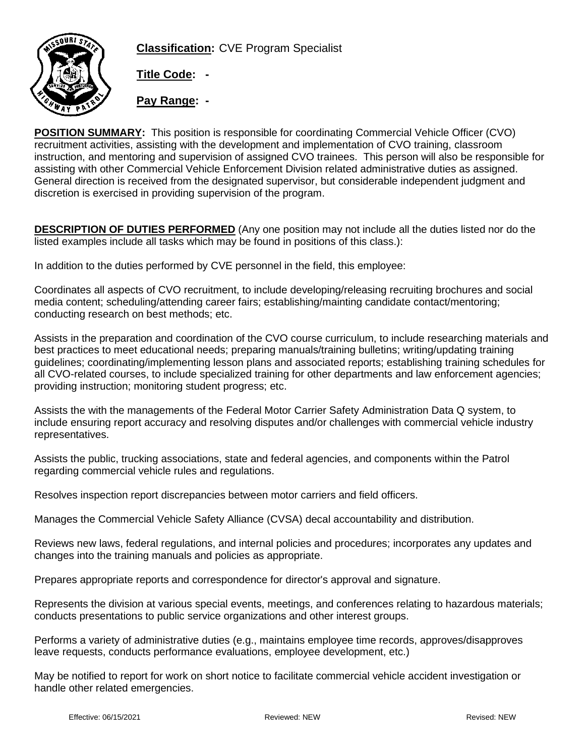

**Classification:** CVE Program Specialist

**Title Code: -**

**Pay Range: -**

**POSITION SUMMARY:** This position is responsible for coordinating Commercial Vehicle Officer (CVO) recruitment activities, assisting with the development and implementation of CVO training, classroom instruction, and mentoring and supervision of assigned CVO trainees. This person will also be responsible for assisting with other Commercial Vehicle Enforcement Division related administrative duties as assigned. General direction is received from the designated supervisor, but considerable independent judgment and discretion is exercised in providing supervision of the program.

**DESCRIPTION OF DUTIES PERFORMED** (Any one position may not include all the duties listed nor do the listed examples include all tasks which may be found in positions of this class.):

In addition to the duties performed by CVE personnel in the field, this employee:

Coordinates all aspects of CVO recruitment, to include developing/releasing recruiting brochures and social media content; scheduling/attending career fairs; establishing/mainting candidate contact/mentoring; conducting research on best methods; etc.

Assists in the preparation and coordination of the CVO course curriculum, to include researching materials and best practices to meet educational needs; preparing manuals/training bulletins; writing/updating training guidelines; coordinating/implementing lesson plans and associated reports; establishing training schedules for all CVO-related courses, to include specialized training for other departments and law enforcement agencies; providing instruction; monitoring student progress; etc.

Assists the with the managements of the Federal Motor Carrier Safety Administration Data Q system, to include ensuring report accuracy and resolving disputes and/or challenges with commercial vehicle industry representatives.

Assists the public, trucking associations, state and federal agencies, and components within the Patrol regarding commercial vehicle rules and regulations.

Resolves inspection report discrepancies between motor carriers and field officers.

Manages the Commercial Vehicle Safety Alliance (CVSA) decal accountability and distribution.

Reviews new laws, federal regulations, and internal policies and procedures; incorporates any updates and changes into the training manuals and policies as appropriate.

Prepares appropriate reports and correspondence for director's approval and signature.

Represents the division at various special events, meetings, and conferences relating to hazardous materials; conducts presentations to public service organizations and other interest groups.

Performs a variety of administrative duties (e.g., maintains employee time records, approves/disapproves leave requests, conducts performance evaluations, employee development, etc.)

May be notified to report for work on short notice to facilitate commercial vehicle accident investigation or handle other related emergencies.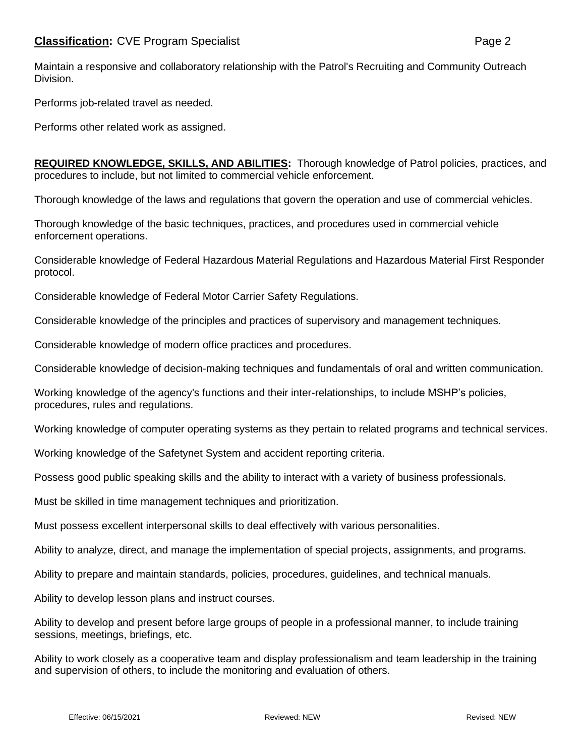Maintain a responsive and collaboratory relationship with the Patrol's Recruiting and Community Outreach Division.

Performs job-related travel as needed.

Performs other related work as assigned.

**REQUIRED KNOWLEDGE, SKILLS, AND ABILITIES:** Thorough knowledge of Patrol policies, practices, and procedures to include, but not limited to commercial vehicle enforcement.

Thorough knowledge of the laws and regulations that govern the operation and use of commercial vehicles.

Thorough knowledge of the basic techniques, practices, and procedures used in commercial vehicle enforcement operations.

Considerable knowledge of Federal Hazardous Material Regulations and Hazardous Material First Responder protocol.

Considerable knowledge of Federal Motor Carrier Safety Regulations.

Considerable knowledge of the principles and practices of supervisory and management techniques.

Considerable knowledge of modern office practices and procedures.

Considerable knowledge of decision-making techniques and fundamentals of oral and written communication.

Working knowledge of the agency's functions and their inter-relationships, to include MSHP's policies, procedures, rules and regulations.

Working knowledge of computer operating systems as they pertain to related programs and technical services.

Working knowledge of the Safetynet System and accident reporting criteria.

Possess good public speaking skills and the ability to interact with a variety of business professionals.

Must be skilled in time management techniques and prioritization.

Must possess excellent interpersonal skills to deal effectively with various personalities.

Ability to analyze, direct, and manage the implementation of special projects, assignments, and programs.

Ability to prepare and maintain standards, policies, procedures, guidelines, and technical manuals.

Ability to develop lesson plans and instruct courses.

Ability to develop and present before large groups of people in a professional manner, to include training sessions, meetings, briefings, etc.

Ability to work closely as a cooperative team and display professionalism and team leadership in the training and supervision of others, to include the monitoring and evaluation of others.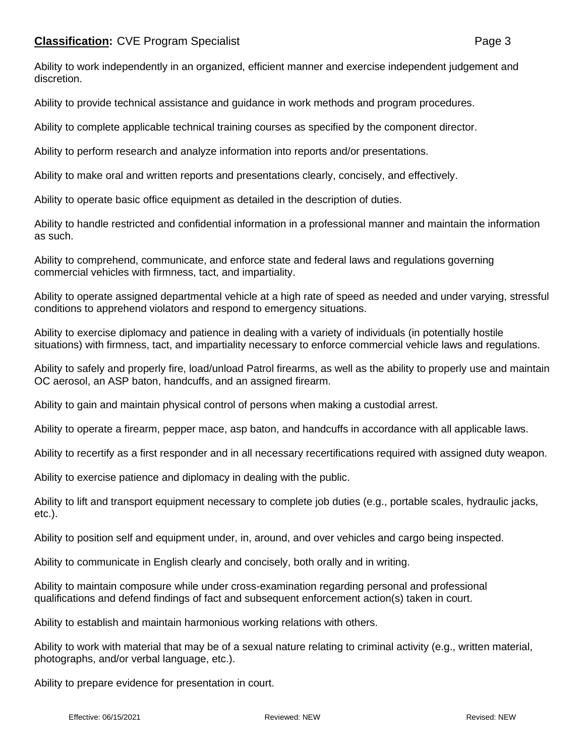Ability to work independently in an organized, efficient manner and exercise independent judgement and discretion.

Ability to provide technical assistance and guidance in work methods and program procedures.

Ability to complete applicable technical training courses as specified by the component director.

Ability to perform research and analyze information into reports and/or presentations.

Ability to make oral and written reports and presentations clearly, concisely, and effectively.

Ability to operate basic office equipment as detailed in the description of duties.

Ability to handle restricted and confidential information in a professional manner and maintain the information as such.

Ability to comprehend, communicate, and enforce state and federal laws and regulations governing commercial vehicles with firmness, tact, and impartiality.

Ability to operate assigned departmental vehicle at a high rate of speed as needed and under varying, stressful conditions to apprehend violators and respond to emergency situations.

Ability to exercise diplomacy and patience in dealing with a variety of individuals (in potentially hostile situations) with firmness, tact, and impartiality necessary to enforce commercial vehicle laws and regulations.

Ability to safely and properly fire, load/unload Patrol firearms, as well as the ability to properly use and maintain OC aerosol, an ASP baton, handcuffs, and an assigned firearm.

Ability to gain and maintain physical control of persons when making a custodial arrest.

Ability to operate a firearm, pepper mace, asp baton, and handcuffs in accordance with all applicable laws.

Ability to recertify as a first responder and in all necessary recertifications required with assigned duty weapon.

Ability to exercise patience and diplomacy in dealing with the public.

Ability to lift and transport equipment necessary to complete job duties (e.g., portable scales, hydraulic jacks, etc.).

Ability to position self and equipment under, in, around, and over vehicles and cargo being inspected.

Ability to communicate in English clearly and concisely, both orally and in writing.

Ability to maintain composure while under cross-examination regarding personal and professional qualifications and defend findings of fact and subsequent enforcement action(s) taken in court.

Ability to establish and maintain harmonious working relations with others.

Ability to work with material that may be of a sexual nature relating to criminal activity (e.g., written material, photographs, and/or verbal language, etc.).

Ability to prepare evidence for presentation in court.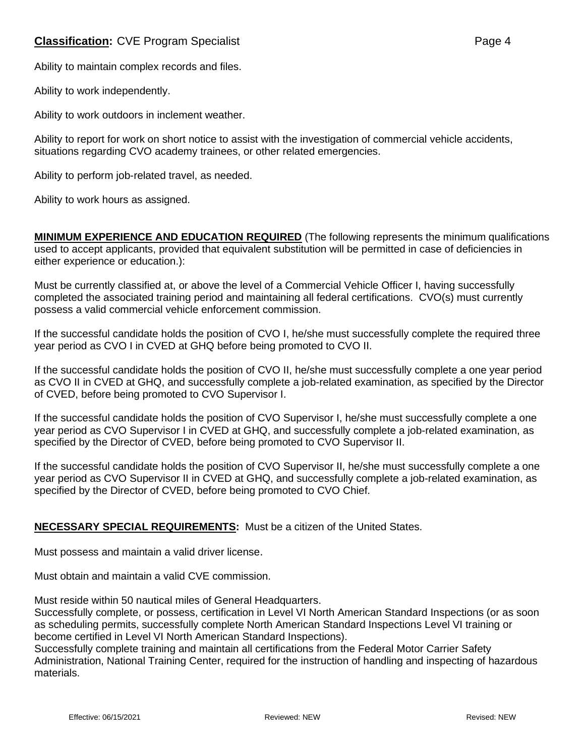## **Classification:** CVE Program Specialist **Page 4** Page 4

Ability to maintain complex records and files.

Ability to work independently.

Ability to work outdoors in inclement weather.

Ability to report for work on short notice to assist with the investigation of commercial vehicle accidents, situations regarding CVO academy trainees, or other related emergencies.

Ability to perform job-related travel, as needed.

Ability to work hours as assigned.

**MINIMUM EXPERIENCE AND EDUCATION REQUIRED** (The following represents the minimum qualifications used to accept applicants, provided that equivalent substitution will be permitted in case of deficiencies in either experience or education.):

Must be currently classified at, or above the level of a Commercial Vehicle Officer I, having successfully completed the associated training period and maintaining all federal certifications. CVO(s) must currently possess a valid commercial vehicle enforcement commission.

If the successful candidate holds the position of CVO I, he/she must successfully complete the required three year period as CVO I in CVED at GHQ before being promoted to CVO II.

If the successful candidate holds the position of CVO II, he/she must successfully complete a one year period as CVO II in CVED at GHQ, and successfully complete a job-related examination, as specified by the Director of CVED, before being promoted to CVO Supervisor I.

If the successful candidate holds the position of CVO Supervisor I, he/she must successfully complete a one year period as CVO Supervisor I in CVED at GHQ, and successfully complete a job-related examination, as specified by the Director of CVED, before being promoted to CVO Supervisor II.

If the successful candidate holds the position of CVO Supervisor II, he/she must successfully complete a one year period as CVO Supervisor II in CVED at GHQ, and successfully complete a job-related examination, as specified by the Director of CVED, before being promoted to CVO Chief.

## **NECESSARY SPECIAL REQUIREMENTS:** Must be a citizen of the United States.

Must possess and maintain a valid driver license.

Must obtain and maintain a valid CVE commission.

Must reside within 50 nautical miles of General Headquarters.

Successfully complete, or possess, certification in Level VI North American Standard Inspections (or as soon as scheduling permits, successfully complete North American Standard Inspections Level VI training or become certified in Level VI North American Standard Inspections).

Successfully complete training and maintain all certifications from the Federal Motor Carrier Safety Administration, National Training Center, required for the instruction of handling and inspecting of hazardous materials.